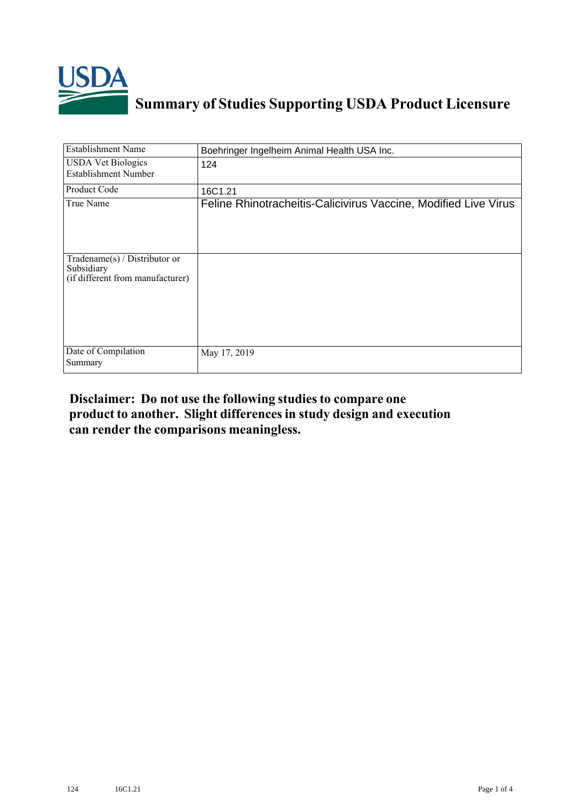

## **Summary of Studies Supporting USDA Product Licensure**

| <b>Establishment Name</b>                                                          | Boehringer Ingelheim Animal Health USA Inc.                     |
|------------------------------------------------------------------------------------|-----------------------------------------------------------------|
| <b>USDA Vet Biologics</b><br><b>Establishment Number</b>                           | 124                                                             |
| Product Code                                                                       | 16C1.21                                                         |
| True Name                                                                          | Feline Rhinotracheitis-Calicivirus Vaccine, Modified Live Virus |
| Tradename $(s)$ / Distributor or<br>Subsidiary<br>(if different from manufacturer) |                                                                 |
| Date of Compilation<br>Summary                                                     | May 17, 2019                                                    |

## **Disclaimer: Do not use the following studiesto compare one product to another. Slight differencesin study design and execution can render the comparisons meaningless.**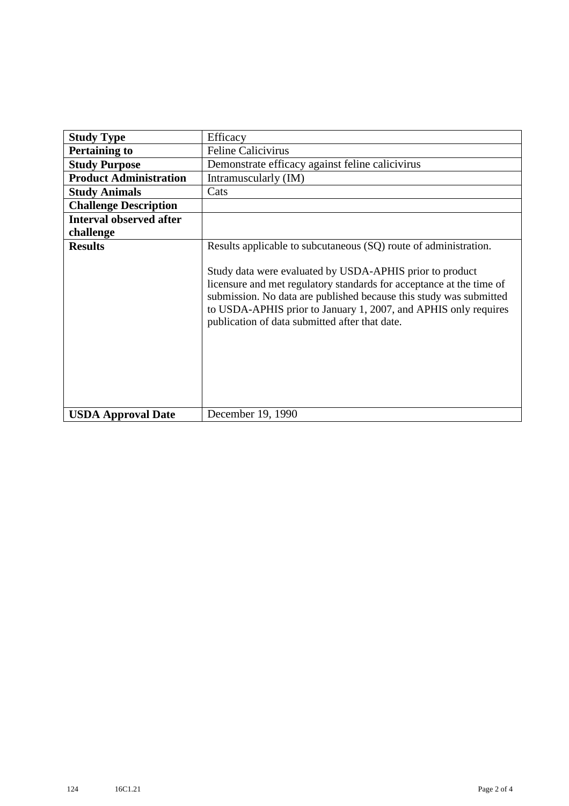| <b>Study Type</b>              | Efficacy                                                                                                                                                                                                                                                                                                                                                                                        |
|--------------------------------|-------------------------------------------------------------------------------------------------------------------------------------------------------------------------------------------------------------------------------------------------------------------------------------------------------------------------------------------------------------------------------------------------|
| <b>Pertaining to</b>           | <b>Feline Calicivirus</b>                                                                                                                                                                                                                                                                                                                                                                       |
| <b>Study Purpose</b>           | Demonstrate efficacy against feline calicivirus                                                                                                                                                                                                                                                                                                                                                 |
| <b>Product Administration</b>  | Intramuscularly (IM)                                                                                                                                                                                                                                                                                                                                                                            |
| <b>Study Animals</b>           | Cats                                                                                                                                                                                                                                                                                                                                                                                            |
| <b>Challenge Description</b>   |                                                                                                                                                                                                                                                                                                                                                                                                 |
| <b>Interval observed after</b> |                                                                                                                                                                                                                                                                                                                                                                                                 |
| challenge                      |                                                                                                                                                                                                                                                                                                                                                                                                 |
| <b>Results</b>                 | Results applicable to subcutaneous (SQ) route of administration.<br>Study data were evaluated by USDA-APHIS prior to product<br>licensure and met regulatory standards for acceptance at the time of<br>submission. No data are published because this study was submitted<br>to USDA-APHIS prior to January 1, 2007, and APHIS only requires<br>publication of data submitted after that date. |
| <b>USDA Approval Date</b>      | December 19, 1990                                                                                                                                                                                                                                                                                                                                                                               |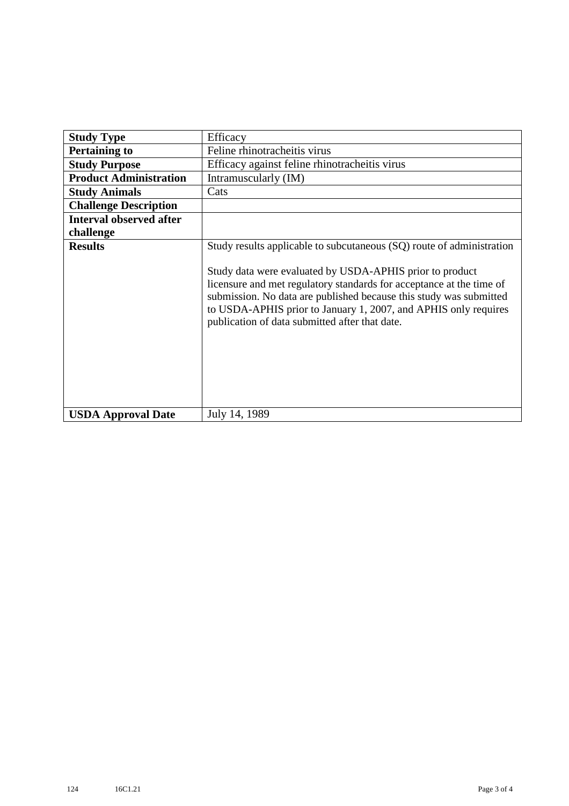| <b>Study Type</b>              | Efficacy                                                                                                                                                                                                                                                                                                                                                                                             |
|--------------------------------|------------------------------------------------------------------------------------------------------------------------------------------------------------------------------------------------------------------------------------------------------------------------------------------------------------------------------------------------------------------------------------------------------|
| <b>Pertaining to</b>           | Feline rhinotracheitis virus                                                                                                                                                                                                                                                                                                                                                                         |
| <b>Study Purpose</b>           | Efficacy against feline rhinotracheitis virus                                                                                                                                                                                                                                                                                                                                                        |
| <b>Product Administration</b>  | Intramuscularly (IM)                                                                                                                                                                                                                                                                                                                                                                                 |
| <b>Study Animals</b>           | Cats                                                                                                                                                                                                                                                                                                                                                                                                 |
| <b>Challenge Description</b>   |                                                                                                                                                                                                                                                                                                                                                                                                      |
| <b>Interval observed after</b> |                                                                                                                                                                                                                                                                                                                                                                                                      |
| challenge                      |                                                                                                                                                                                                                                                                                                                                                                                                      |
| <b>Results</b>                 | Study results applicable to subcutaneous (SQ) route of administration<br>Study data were evaluated by USDA-APHIS prior to product<br>licensure and met regulatory standards for acceptance at the time of<br>submission. No data are published because this study was submitted<br>to USDA-APHIS prior to January 1, 2007, and APHIS only requires<br>publication of data submitted after that date. |
| <b>USDA Approval Date</b>      | July 14, 1989                                                                                                                                                                                                                                                                                                                                                                                        |